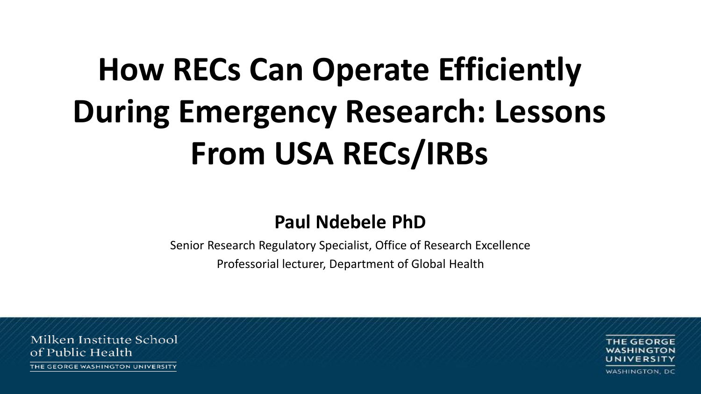# **How RECs Can Operate Efficiently During Emergency Research: Lessons From USA RECs/IRBs**

#### **Paul Ndebele PhD**

Senior Research Regulatory Specialist, Office of Research Excellence

Professorial lecturer, Department of Global Health

Milken Institute School of Public Health

THE GEORGE WASHINGTON UNIVERSITY

THE GEORGE **WASHINGTON, DC**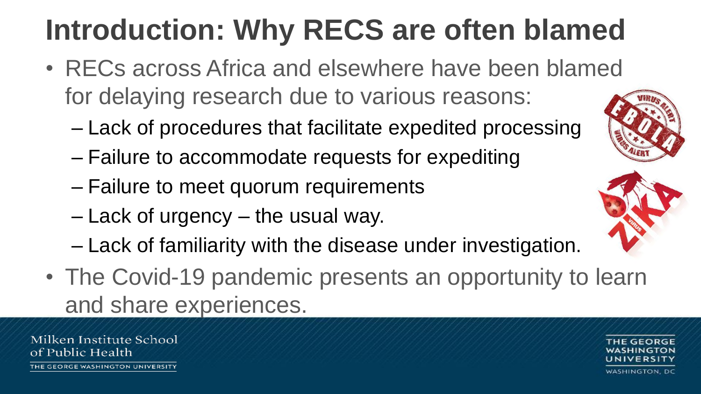# **Introduction: Why RECS are often blamed**

- RECs across Africa and elsewhere have been blamed for delaying research due to various reasons:
	- Lack of procedures that facilitate expedited processing
	- Failure to accommodate requests for expediting
	- Failure to meet quorum requirements
	- Lack of urgency the usual way.
	- Lack of familiarity with the disease under investigation.
- The Covid-19 pandemic presents an opportunity to learn and share experiences.

Milken Institute School of Public Health



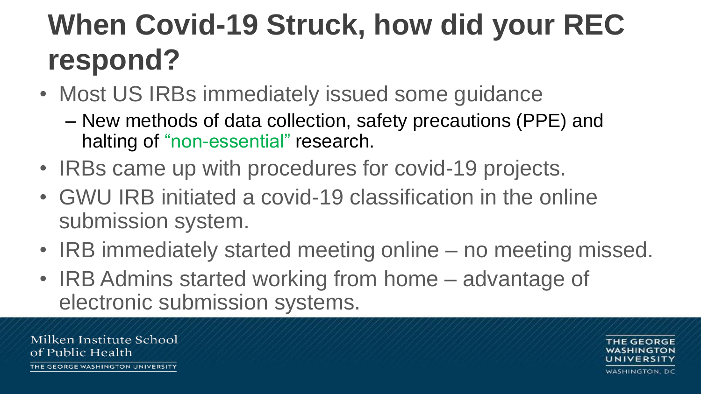### **When Covid-19 Struck, how did your REC respond?**

- Most US IRBs immediately issued some guidance
	- New methods of data collection, safety precautions (PPE) and halting of "non-essential" research.
- IRBs came up with procedures for covid-19 projects.
- GWU IRB initiated a covid-19 classification in the online submission system.
- IRB immediately started meeting online no meeting missed.
- IRB Admins started working from home advantage of electronic submission systems.

Milken Institute School of Public Health

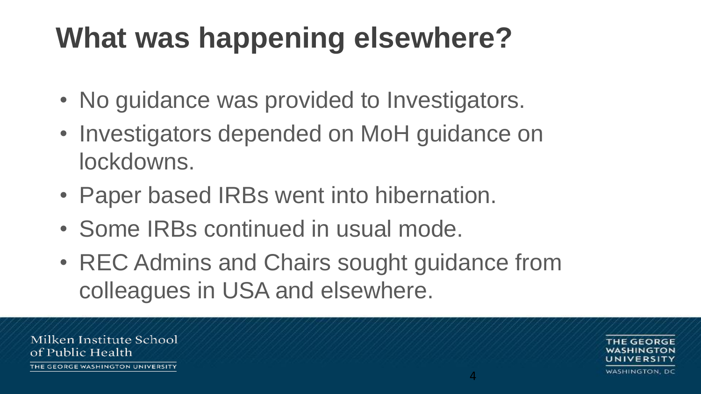#### **What was happening elsewhere?**

- No guidance was provided to Investigators.
- Investigators depended on MoH guidance on lockdowns.
- Paper based IRBs went into hibernation.
- Some IRBs continued in usual mode.
- REC Admins and Chairs sought guidance from colleagues in USA and elsewhere.

Milken Institute School of Public Health

THE GEORGE WASHINGTON UNIVERSITY

4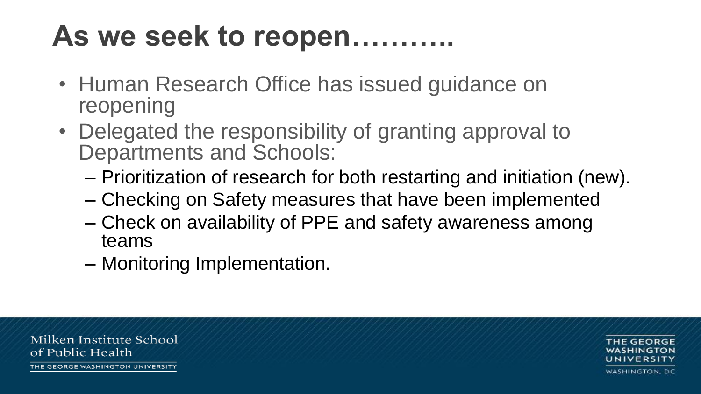#### **As we seek to reopen………..**

- Human Research Office has issued guidance on reopening
- Delegated the responsibility of granting approval to Departments and Schools:
	- Prioritization of research for both restarting and initiation (new).
	- Checking on Safety measures that have been implemented
	- Check on availability of PPE and safety awareness among teams
	- Monitoring Implementation.

Milken Institute School of Public Health

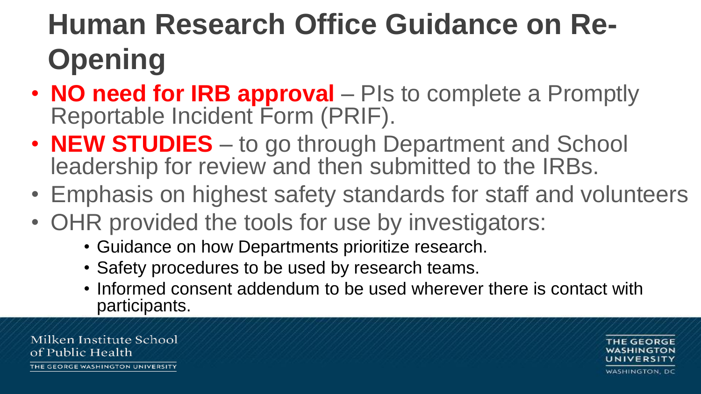# **Human Research Office Guidance on Re-Opening**

- **NO need for IRB approval** PIs to complete a Promptly Reportable Incident Form (PRIF).
- **NEW STUDIES**  to go through Department and School leadership for review and then submitted to the IRBs.
- Emphasis on highest safety standards for staff and volunteers
- OHR provided the tools for use by investigators:
	- Guidance on how Departments prioritize research.
	- Safety procedures to be used by research teams.
	- Informed consent addendum to be used wherever there is contact with participants.

Milken Institute School of Public Health